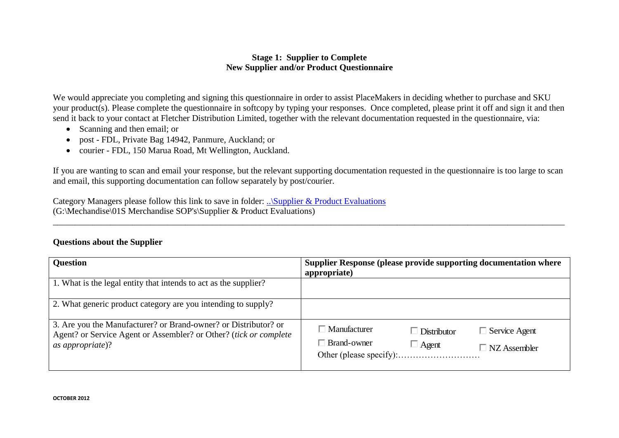## **Stage 1: Supplier to Complete New Supplier and/or Product Questionnaire**

We would appreciate you completing and signing this questionnaire in order to assist PlaceMakers in deciding whether to purchase and SKU your product(s). Please complete the questionnaire in softcopy by typing your responses. Once completed, please print it off and sign it and then send it back to your contact at Fletcher Distribution Limited, together with the relevant documentation requested in the questionnaire, via:

- Scanning and then email; or
- post FDL, Private Bag 14942, Panmure, Auckland; or
- courier FDL, 150 Marua Road, Mt Wellington, Auckland.

If you are wanting to scan and email your response, but the relevant supporting documentation requested in the questionnaire is too large to scan and email, this supporting documentation can follow separately by post/courier.

\_\_\_\_\_\_\_\_\_\_\_\_\_\_\_\_\_\_\_\_\_\_\_\_\_\_\_\_\_\_\_\_\_\_\_\_\_\_\_\_\_\_\_\_\_\_\_\_\_\_\_\_\_\_\_\_\_\_\_\_\_\_\_\_\_\_\_\_\_\_\_\_\_\_\_\_\_\_\_\_\_\_\_\_\_\_\_\_\_\_\_\_\_\_\_\_\_\_\_\_\_\_\_\_\_\_\_\_\_\_\_\_\_\_\_\_

Category Managers please follow this link to save in folder: [..\Supplier & Product Evaluations](file://///ntsak23/groups$/Merchandise/01S%20Merchandise%20SOP) (G:\Mechandise\01S Merchandise SOP's\Supplier & Product Evaluations)

## **Questions about the Supplier**

| <b>Question</b>                                                                                                                                          | Supplier Response (please provide supporting documentation where<br>appropriate)                                               |
|----------------------------------------------------------------------------------------------------------------------------------------------------------|--------------------------------------------------------------------------------------------------------------------------------|
| 1. What is the legal entity that intends to act as the supplier?                                                                                         |                                                                                                                                |
| 2. What generic product category are you intending to supply?                                                                                            |                                                                                                                                |
| 3. Are you the Manufacturer? or Brand-owner? or Distributor? or<br>Agent? or Service Agent or Assembler? or Other? (tick or complete<br>as appropriate)? | $\Box$ Manufacturer<br>$\Box$ Service Agent<br>$\Box$ Distributor<br>$\Box$ Brand-owner<br>$\Box$ Agent<br>$\Box$ NZ Assembler |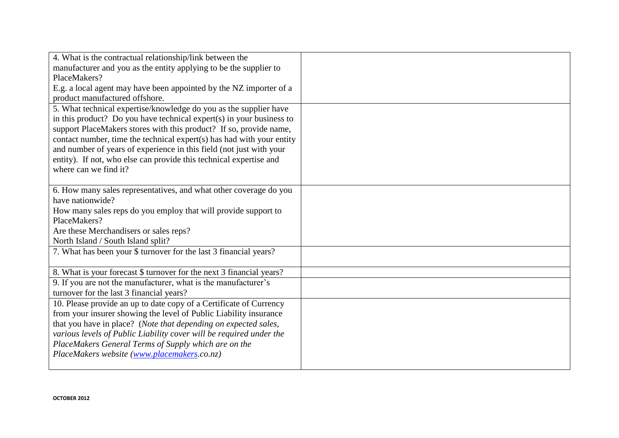| 4. What is the contractual relationship/link between the              |  |
|-----------------------------------------------------------------------|--|
| manufacturer and you as the entity applying to be the supplier to     |  |
| PlaceMakers?                                                          |  |
| E.g. a local agent may have been appointed by the NZ importer of a    |  |
| product manufactured offshore.                                        |  |
| 5. What technical expertise/knowledge do you as the supplier have     |  |
| in this product? Do you have technical expert(s) in your business to  |  |
| support PlaceMakers stores with this product? If so, provide name,    |  |
| contact number, time the technical expert(s) has had with your entity |  |
| and number of years of experience in this field (not just with your   |  |
| entity). If not, who else can provide this technical expertise and    |  |
| where can we find it?                                                 |  |
|                                                                       |  |
| 6. How many sales representatives, and what other coverage do you     |  |
| have nationwide?                                                      |  |
| How many sales reps do you employ that will provide support to        |  |
| PlaceMakers?                                                          |  |
| Are these Merchandisers or sales reps?                                |  |
| North Island / South Island split?                                    |  |
| 7. What has been your \$ turnover for the last 3 financial years?     |  |
|                                                                       |  |
| 8. What is your forecast \$ turnover for the next 3 financial years?  |  |
| 9. If you are not the manufacturer, what is the manufacturer's        |  |
| turnover for the last 3 financial years?                              |  |
| 10. Please provide an up to date copy of a Certificate of Currency    |  |
| from your insurer showing the level of Public Liability insurance     |  |
| that you have in place? (Note that depending on expected sales,       |  |
| various levels of Public Liability cover will be required under the   |  |
| PlaceMakers General Terms of Supply which are on the                  |  |
| PlaceMakers website (www.placemakers.co.nz)                           |  |
|                                                                       |  |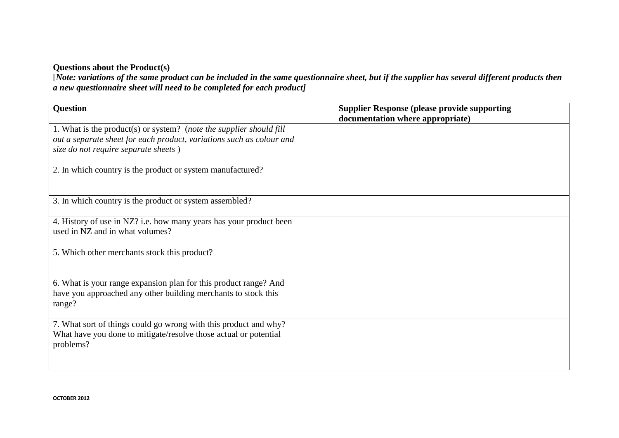## **Questions about the Product(s)**

[*Note: variations of the same product can be included in the same questionnaire sheet, but if the supplier has several different products then a new questionnaire sheet will need to be completed for each product]*

| <b>Question</b>                                                                                                                                                                     | <b>Supplier Response (please provide supporting</b><br>documentation where appropriate) |
|-------------------------------------------------------------------------------------------------------------------------------------------------------------------------------------|-----------------------------------------------------------------------------------------|
| 1. What is the product(s) or system? (note the supplier should fill<br>out a separate sheet for each product, variations such as colour and<br>size do not require separate sheets) |                                                                                         |
| 2. In which country is the product or system manufactured?                                                                                                                          |                                                                                         |
| 3. In which country is the product or system assembled?                                                                                                                             |                                                                                         |
| 4. History of use in NZ? i.e. how many years has your product been<br>used in NZ and in what volumes?                                                                               |                                                                                         |
| 5. Which other merchants stock this product?                                                                                                                                        |                                                                                         |
| 6. What is your range expansion plan for this product range? And<br>have you approached any other building merchants to stock this<br>range?                                        |                                                                                         |
| 7. What sort of things could go wrong with this product and why?<br>What have you done to mitigate/resolve those actual or potential<br>problems?                                   |                                                                                         |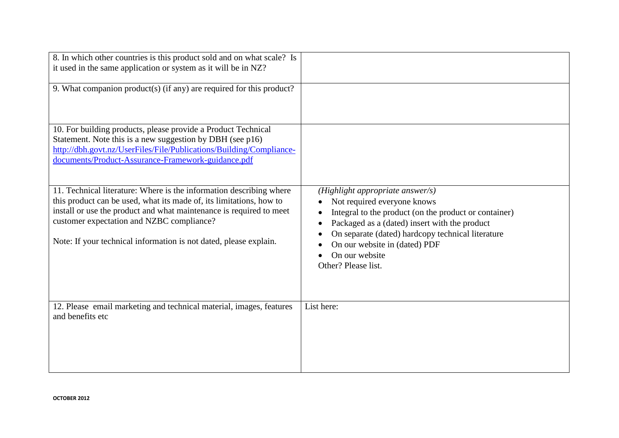| 8. In which other countries is this product sold and on what scale? Is<br>it used in the same application or system as it will be in NZ?                                                                                                                                                                                            |                                                                                                                                                                                                                                                                                                          |
|-------------------------------------------------------------------------------------------------------------------------------------------------------------------------------------------------------------------------------------------------------------------------------------------------------------------------------------|----------------------------------------------------------------------------------------------------------------------------------------------------------------------------------------------------------------------------------------------------------------------------------------------------------|
| 9. What companion product(s) (if any) are required for this product?                                                                                                                                                                                                                                                                |                                                                                                                                                                                                                                                                                                          |
| 10. For building products, please provide a Product Technical<br>Statement. Note this is a new suggestion by DBH (see p16)<br>http://dbh.govt.nz/UserFiles/File/Publications/Building/Compliance-<br>documents/Product-Assurance-Framework-guidance.pdf                                                                             |                                                                                                                                                                                                                                                                                                          |
| 11. Technical literature: Where is the information describing where<br>this product can be used, what its made of, its limitations, how to<br>install or use the product and what maintenance is required to meet<br>customer expectation and NZBC compliance?<br>Note: If your technical information is not dated, please explain. | (Highlight appropriate answer/s)<br>Not required everyone knows<br>Integral to the product (on the product or container)<br>Packaged as a (dated) insert with the product<br>On separate (dated) hardcopy technical literature<br>On our website in (dated) PDF<br>On our website<br>Other? Please list. |
| 12. Please email marketing and technical material, images, features<br>and benefits etc                                                                                                                                                                                                                                             | List here:                                                                                                                                                                                                                                                                                               |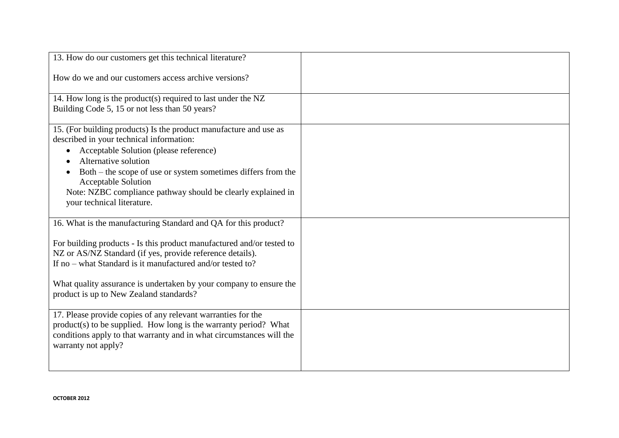| 13. How do our customers get this technical literature?                                                                                  |  |
|------------------------------------------------------------------------------------------------------------------------------------------|--|
| How do we and our customers access archive versions?                                                                                     |  |
| 14. How long is the product(s) required to last under the NZ                                                                             |  |
| Building Code 5, 15 or not less than 50 years?                                                                                           |  |
| 15. (For building products) Is the product manufacture and use as                                                                        |  |
| described in your technical information:<br>Acceptable Solution (please reference)                                                       |  |
| Alternative solution                                                                                                                     |  |
| Both – the scope of use or system sometimes differs from the                                                                             |  |
| <b>Acceptable Solution</b>                                                                                                               |  |
| Note: NZBC compliance pathway should be clearly explained in<br>your technical literature.                                               |  |
|                                                                                                                                          |  |
| 16. What is the manufacturing Standard and QA for this product?                                                                          |  |
| For building products - Is this product manufactured and/or tested to                                                                    |  |
| NZ or AS/NZ Standard (if yes, provide reference details).                                                                                |  |
| If no – what Standard is it manufactured and/or tested to?                                                                               |  |
| What quality assurance is undertaken by your company to ensure the                                                                       |  |
| product is up to New Zealand standards?                                                                                                  |  |
|                                                                                                                                          |  |
| 17. Please provide copies of any relevant warranties for the                                                                             |  |
| product(s) to be supplied. How long is the warranty period? What<br>conditions apply to that warranty and in what circumstances will the |  |
| warranty not apply?                                                                                                                      |  |
|                                                                                                                                          |  |
|                                                                                                                                          |  |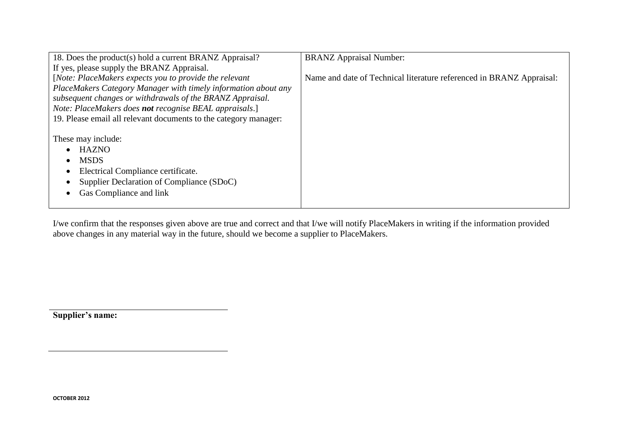| 18. Does the product(s) hold a current BRANZ Appraisal?          | <b>BRANZ Appraisal Number:</b>                                       |
|------------------------------------------------------------------|----------------------------------------------------------------------|
| If yes, please supply the BRANZ Appraisal.                       |                                                                      |
| [Note: PlaceMakers expects you to provide the relevant           | Name and date of Technical literature referenced in BRANZ Appraisal: |
| PlaceMakers Category Manager with timely information about any   |                                                                      |
| subsequent changes or withdrawals of the BRANZ Appraisal.        |                                                                      |
| Note: PlaceMakers does not recognise BEAL appraisals.]           |                                                                      |
| 19. Please email all relevant documents to the category manager: |                                                                      |
|                                                                  |                                                                      |
| These may include:                                               |                                                                      |
| <b>HAZNO</b>                                                     |                                                                      |
| <b>MSDS</b>                                                      |                                                                      |
| Electrical Compliance certificate.                               |                                                                      |
| Supplier Declaration of Compliance (SDoC)                        |                                                                      |
| Gas Compliance and link                                          |                                                                      |
|                                                                  |                                                                      |

I/we confirm that the responses given above are true and correct and that I/we will notify PlaceMakers in writing if the information provided above changes in any material way in the future, should we become a supplier to PlaceMakers.

**Supplier's name:**